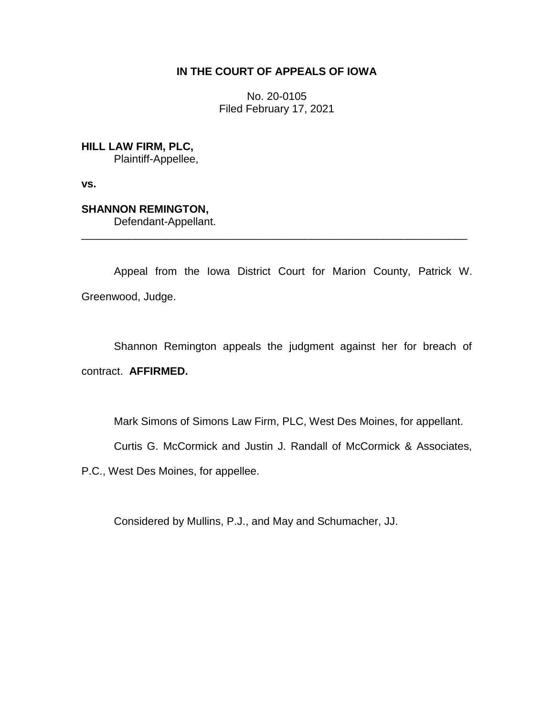## **IN THE COURT OF APPEALS OF IOWA**

No. 20-0105 Filed February 17, 2021

**HILL LAW FIRM, PLC,** Plaintiff-Appellee,

**vs.**

**SHANNON REMINGTON,**

Defendant-Appellant.

Appeal from the Iowa District Court for Marion County, Patrick W. Greenwood, Judge.

\_\_\_\_\_\_\_\_\_\_\_\_\_\_\_\_\_\_\_\_\_\_\_\_\_\_\_\_\_\_\_\_\_\_\_\_\_\_\_\_\_\_\_\_\_\_\_\_\_\_\_\_\_\_\_\_\_\_\_\_\_\_\_\_

Shannon Remington appeals the judgment against her for breach of contract. **AFFIRMED.**

Mark Simons of Simons Law Firm, PLC, West Des Moines, for appellant.

Curtis G. McCormick and Justin J. Randall of McCormick & Associates,

P.C., West Des Moines, for appellee.

Considered by Mullins, P.J., and May and Schumacher, JJ.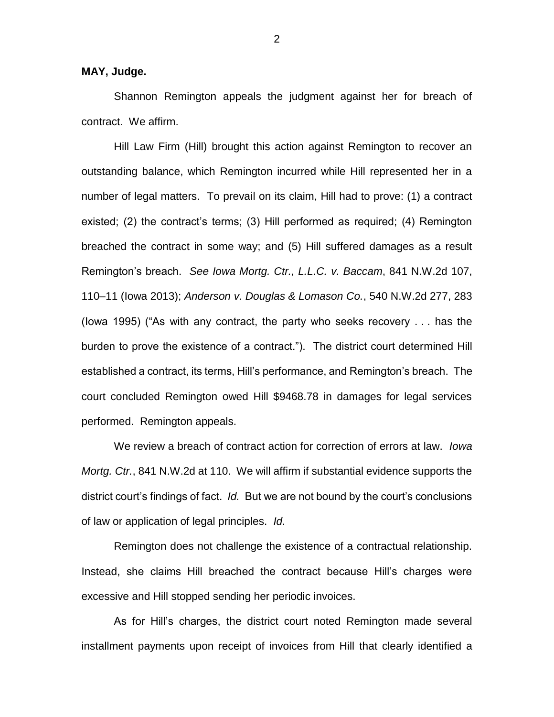## **MAY, Judge.**

Shannon Remington appeals the judgment against her for breach of contract. We affirm.

Hill Law Firm (Hill) brought this action against Remington to recover an outstanding balance, which Remington incurred while Hill represented her in a number of legal matters. To prevail on its claim, Hill had to prove: (1) a contract existed; (2) the contract's terms; (3) Hill performed as required; (4) Remington breached the contract in some way; and (5) Hill suffered damages as a result Remington's breach. *See Iowa Mortg. Ctr., L.L.C. v. Baccam*, 841 N.W.2d 107, 110–11 (Iowa 2013); *Anderson v. Douglas & Lomason Co.*, 540 N.W.2d 277, 283 (Iowa 1995) ("As with any contract, the party who seeks recovery . . . has the burden to prove the existence of a contract."). The district court determined Hill established a contract, its terms, Hill's performance, and Remington's breach. The court concluded Remington owed Hill \$9468.78 in damages for legal services performed. Remington appeals.

We review a breach of contract action for correction of errors at law. *Iowa Mortg. Ctr.*, 841 N.W.2d at 110. We will affirm if substantial evidence supports the district court's findings of fact. *Id.* But we are not bound by the court's conclusions of law or application of legal principles. *Id.*

Remington does not challenge the existence of a contractual relationship. Instead, she claims Hill breached the contract because Hill's charges were excessive and Hill stopped sending her periodic invoices.

As for Hill's charges, the district court noted Remington made several installment payments upon receipt of invoices from Hill that clearly identified a